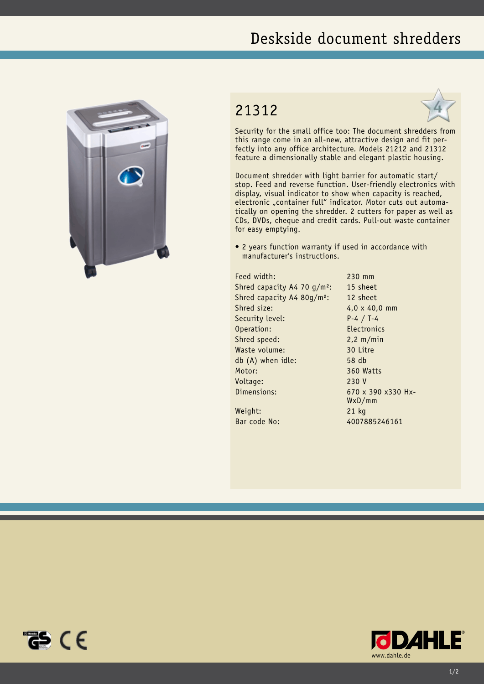## Deskside document shredders



## 21312



Security for the small office too: The document shredders from this range come in an all-new, attractive design and fit perfectly into any office architecture. Models 21212 and 21312 feature a dimensionally stable and elegant plastic housing.

Document shredder with light barrier for automatic start/ stop. Feed and reverse function. User-friendly electronics with display, visual indicator to show when capacity is reached, electronic "container full" indicator. Motor cuts out automatically on opening the shredder. 2 cutters for paper as well as CDs, DVDs, cheque and credit cards. Pull-out waste container for easy emptying.

• 2 years function warranty if used in accordance with manufacturer's instructions.

Feed width: 230 mm Shred capacity A4 70 g/m²: 15 sheet Shred capacity A4 80g/m²: 12 sheet Shred size: 4,0 x 40,0 mm Security level: P-4 / T-4 Operation: Electronics Shred speed: 2,2 m/min Waste volume: 30 Litre db (A) when idle: 58 db Motor: 360 Watts Voltage: 230 V Dimensions: 670 x 390 x330 Hx-

Weight: 21 kg

WxD/mm Bar code No: 4007885246161